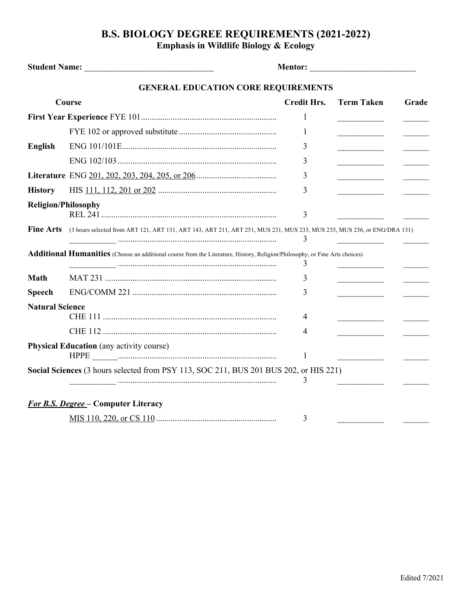## **B.S. BIOLOGY DEGREE REQUIREMENTS (2021-2022) Emphasis in Wildlife Biology & Ecology**

|                            | <b>GENERAL EDUCATION CORE REQUIREMENTS</b>                                                                                  |                    |                                                                                                                     |       |
|----------------------------|-----------------------------------------------------------------------------------------------------------------------------|--------------------|---------------------------------------------------------------------------------------------------------------------|-------|
| Course                     |                                                                                                                             | <b>Credit Hrs.</b> | <b>Term Taken</b>                                                                                                   | Grade |
|                            |                                                                                                                             | 1                  |                                                                                                                     |       |
|                            |                                                                                                                             | 1                  |                                                                                                                     |       |
| <b>English</b>             |                                                                                                                             | 3                  |                                                                                                                     |       |
|                            |                                                                                                                             | 3                  | <u> 1990 - John Barn Barn, amerikansk politiker</u>                                                                 |       |
|                            |                                                                                                                             | 3                  | <u> 1989 - John Harry Harry Harry Harry Harry Harry Harry Harry Harry Harry Harry Harry Harry Harry Harry Harry</u> |       |
| <b>History</b>             |                                                                                                                             | 3                  |                                                                                                                     |       |
| <b>Religion/Philosophy</b> |                                                                                                                             | 3                  |                                                                                                                     |       |
| <b>Fine Arts</b>           | (3 hours selected from ART 121, ART 131, ART 143, ART 211, ART 251, MUS 231, MUS 233, MUS 235, MUS 236, or ENG/DRA 131)     | 3                  |                                                                                                                     |       |
|                            | Additional Humanities (Choose an additional course from the Literature, History, Religion/Philosophy, or Fine Arts choices) | 3                  |                                                                                                                     |       |
| Math                       |                                                                                                                             | 3                  | the control of the control of the                                                                                   |       |
| <b>Speech</b>              |                                                                                                                             | 3                  |                                                                                                                     |       |
| <b>Natural Science</b>     |                                                                                                                             | 4                  |                                                                                                                     |       |
|                            |                                                                                                                             | 4                  |                                                                                                                     |       |
|                            | <b>Physical Education</b> (any activity course)                                                                             | 1                  |                                                                                                                     |       |
|                            | Social Sciences (3 hours selected from PSY 113, SOC 211, BUS 201 BUS 202, or HIS 221)                                       | 3                  |                                                                                                                     |       |
|                            | <b>For B.S. Degree – Computer Literacy</b>                                                                                  |                    |                                                                                                                     |       |
|                            |                                                                                                                             | 3                  |                                                                                                                     |       |